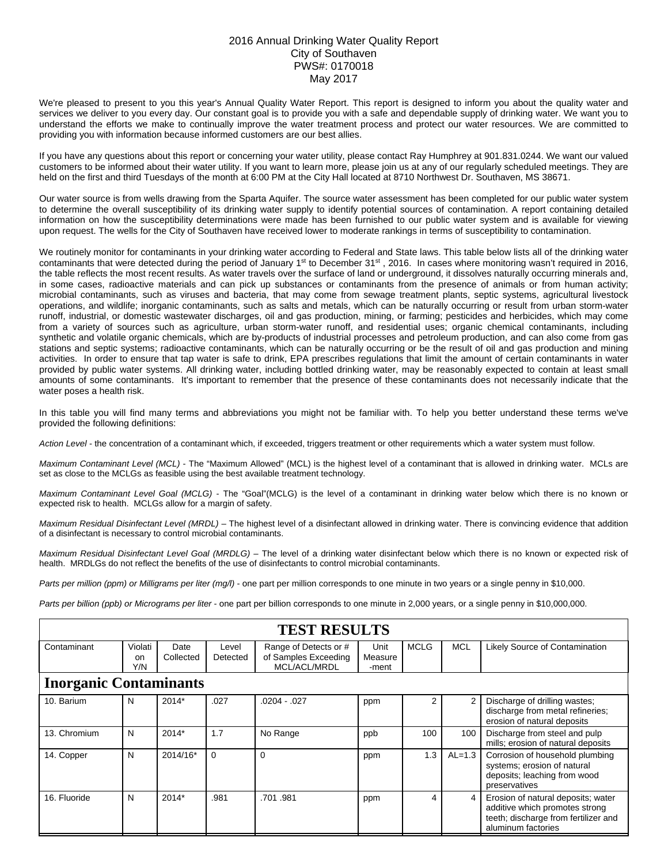## 2016 Annual Drinking Water Quality Report City of Southaven PWS#: 0170018 May 2017

We're pleased to present to you this year's Annual Quality Water Report. This report is designed to inform you about the quality water and services we deliver to you every day. Our constant goal is to provide you with a safe and dependable supply of drinking water. We want you to understand the efforts we make to continually improve the water treatment process and protect our water resources. We are committed to providing you with information because informed customers are our best allies.

If you have any questions about this report or concerning your water utility, please contact Ray Humphrey at 901.831.0244. We want our valued customers to be informed about their water utility. If you want to learn more, please join us at any of our regularly scheduled meetings. They are held on the first and third Tuesdays of the month at 6:00 PM at the City Hall located at 8710 Northwest Dr. Southaven, MS 38671.

Our water source is from wells drawing from the Sparta Aquifer. The source water assessment has been completed for our public water system to determine the overall susceptibility of its drinking water supply to identify potential sources of contamination. A report containing detailed information on how the susceptibility determinations were made has been furnished to our public water system and is available for viewing upon request. The wells for the City of Southaven have received lower to moderate rankings in terms of susceptibility to contamination.

We routinely monitor for contaminants in your drinking water according to Federal and State laws. This table below lists all of the drinking water contaminants that were detected during the period of January 1<sup>st</sup> to December 31<sup>st</sup>, 2016. In cases where monitoring wasn't required in 2016, the table reflects the most recent results. As water travels over the surface of land or underground, it dissolves naturally occurring minerals and, in some cases, radioactive materials and can pick up substances or contaminants from the presence of animals or from human activity; microbial contaminants, such as viruses and bacteria, that may come from sewage treatment plants, septic systems, agricultural livestock operations, and wildlife; inorganic contaminants, such as salts and metals, which can be naturally occurring or result from urban storm-water runoff, industrial, or domestic wastewater discharges, oil and gas production, mining, or farming; pesticides and herbicides, which may come from a variety of sources such as agriculture, urban storm-water runoff, and residential uses; organic chemical contaminants, including synthetic and volatile organic chemicals, which are by-products of industrial processes and petroleum production, and can also come from gas stations and septic systems; radioactive contaminants, which can be naturally occurring or be the result of oil and gas production and mining activities. In order to ensure that tap water is safe to drink, EPA prescribes regulations that limit the amount of certain contaminants in water provided by public water systems. All drinking water, including bottled drinking water, may be reasonably expected to contain at least small amounts of some contaminants. It's important to remember that the presence of these contaminants does not necessarily indicate that the water poses a health risk.

In this table you will find many terms and abbreviations you might not be familiar with. To help you better understand these terms we've provided the following definitions:

*Action Level* - the concentration of a contaminant which, if exceeded, triggers treatment or other requirements which a water system must follow.

*Maximum Contaminant Level (MCL)* - The "Maximum Allowed" (MCL) is the highest level of a contaminant that is allowed in drinking water. MCLs are set as close to the MCLGs as feasible using the best available treatment technology.

*Maximum Contaminant Level Goal (MCLG)* - The "Goal"(MCLG) is the level of a contaminant in drinking water below which there is no known or expected risk to health. MCLGs allow for a margin of safety.

*Maximum Residual Disinfectant Level (MRDL)* – The highest level of a disinfectant allowed in drinking water. There is convincing evidence that addition of a disinfectant is necessary to control microbial contaminants.

*Maximum Residual Disinfectant Level Goal (MRDLG)* – The level of a drinking water disinfectant below which there is no known or expected risk of health. MRDLGs do not reflect the benefits of the use of disinfectants to control microbial contaminants.

*Parts per million (ppm) or Milligrams per liter (mg/l)* - one part per million corresponds to one minute in two years or a single penny in \$10,000.

*Parts per billion (ppb) or Micrograms per liter* - one part per billion corresponds to one minute in 2,000 years, or a single penny in \$10,000,000.

| <b>TEST RESULTS</b>           |                      |                   |                   |                                                               |                          |             |                |                                                                                                                                    |  |  |
|-------------------------------|----------------------|-------------------|-------------------|---------------------------------------------------------------|--------------------------|-------------|----------------|------------------------------------------------------------------------------------------------------------------------------------|--|--|
| Contaminant                   | Violati<br>on<br>Y/N | Date<br>Collected | Level<br>Detected | Range of Detects or #<br>of Samples Exceeding<br>MCL/ACL/MRDL | Unit<br>Measure<br>-ment | <b>MCLG</b> | <b>MCL</b>     | Likely Source of Contamination                                                                                                     |  |  |
| <b>Inorganic Contaminants</b> |                      |                   |                   |                                                               |                          |             |                |                                                                                                                                    |  |  |
| 10. Barium                    | N                    | $2014*$           | .027              | $.0204 - .027$                                                | ppm                      | 2           | $\overline{2}$ | Discharge of drilling wastes;<br>discharge from metal refineries;<br>erosion of natural deposits                                   |  |  |
| 13. Chromium                  | N                    | $2014*$           | 1.7               | No Range                                                      | ppb                      | 100         | 100            | Discharge from steel and pulp<br>mills; erosion of natural deposits                                                                |  |  |
| 14. Copper                    | N                    | 2014/16*          | $\Omega$          | $\Omega$                                                      | ppm                      | 1.3         | $AL=1.3$       | Corrosion of household plumbing<br>systems; erosion of natural<br>deposits; leaching from wood<br>preservatives                    |  |  |
| 16. Fluoride                  | N                    | 2014*             | .981              | .701 .981                                                     | ppm                      | 4           | 4              | Erosion of natural deposits; water<br>additive which promotes strong<br>teeth; discharge from fertilizer and<br>aluminum factories |  |  |